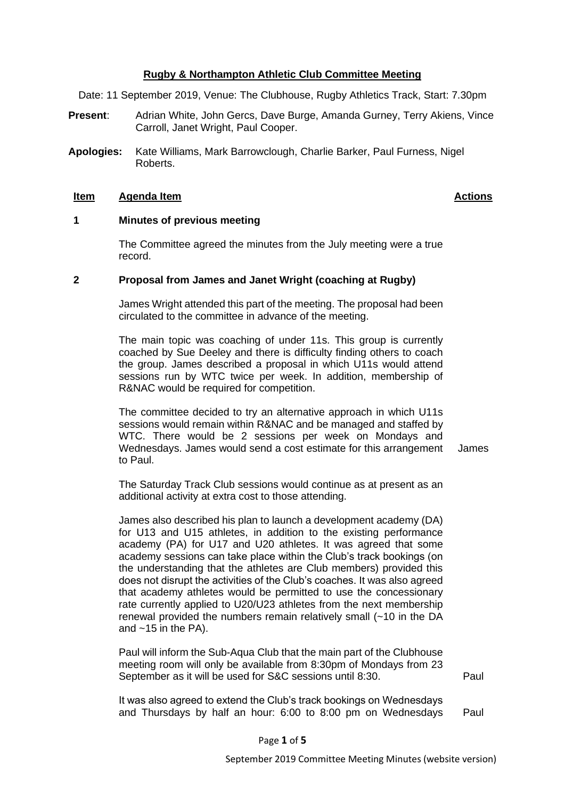#### **Rugby & Northampton Athletic Club Committee Meeting**

Date: 11 September 2019, Venue: The Clubhouse, Rugby Athletics Track, Start: 7.30pm

- **Present**: Adrian White, John Gercs, Dave Burge, Amanda Gurney, Terry Akiens, Vince Carroll, Janet Wright, Paul Cooper.
- **Apologies:** Kate Williams, Mark Barrowclough, Charlie Barker, Paul Furness, Nigel Roberts.

#### **Item Agenda Item Actions**

## **1 Minutes of previous meeting**

The Committee agreed the minutes from the July meeting were a true record.

#### **2 Proposal from James and Janet Wright (coaching at Rugby)**

James Wright attended this part of the meeting. The proposal had been circulated to the committee in advance of the meeting.

The main topic was coaching of under 11s. This group is currently coached by Sue Deeley and there is difficulty finding others to coach the group. James described a proposal in which U11s would attend sessions run by WTC twice per week. In addition, membership of R&NAC would be required for competition.

The committee decided to try an alternative approach in which U11s sessions would remain within R&NAC and be managed and staffed by WTC. There would be 2 sessions per week on Mondays and Wednesdays. James would send a cost estimate for this arrangement to Paul.

James

The Saturday Track Club sessions would continue as at present as an additional activity at extra cost to those attending.

James also described his plan to launch a development academy (DA) for U13 and U15 athletes, in addition to the existing performance academy (PA) for U17 and U20 athletes. It was agreed that some academy sessions can take place within the Club's track bookings (on the understanding that the athletes are Club members) provided this does not disrupt the activities of the Club's coaches. It was also agreed that academy athletes would be permitted to use the concessionary rate currently applied to U20/U23 athletes from the next membership renewal provided the numbers remain relatively small (~10 in the DA and  $~15$  in the PA).

Paul will inform the Sub-Aqua Club that the main part of the Clubhouse meeting room will only be available from 8:30pm of Mondays from 23 September as it will be used for S&C sessions until 8:30.

Paul

It was also agreed to extend the Club's track bookings on Wednesdays and Thursdays by half an hour: 6:00 to 8:00 pm on Wednesdays Paul

Page **1** of **5**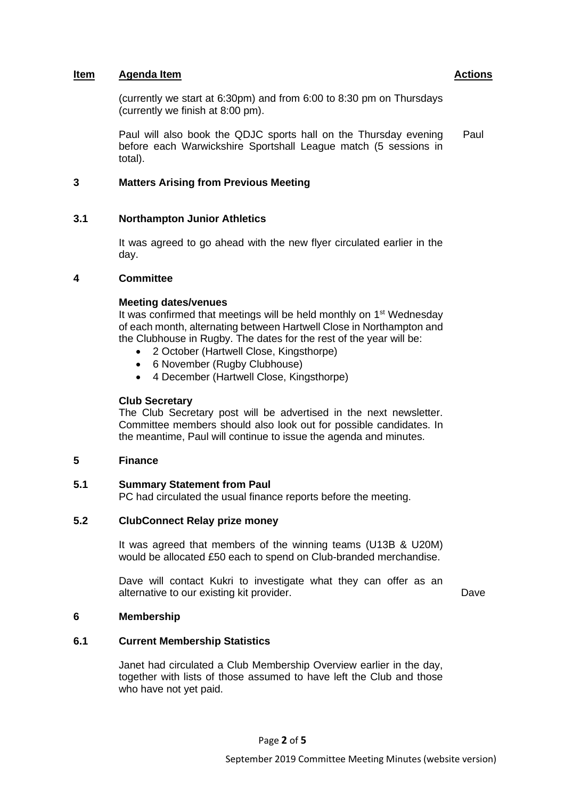(currently we start at 6:30pm) and from 6:00 to 8:30 pm on Thursdays (currently we finish at 8:00 pm).

Paul will also book the QDJC sports hall on the Thursday evening before each Warwickshire Sportshall League match (5 sessions in total). Paul

# **3 Matters Arising from Previous Meeting**

# **3.1 Northampton Junior Athletics**

It was agreed to go ahead with the new flyer circulated earlier in the day.

# **4 Committee**

## **Meeting dates/venues**

It was confirmed that meetings will be held monthly on 1<sup>st</sup> Wednesday of each month, alternating between Hartwell Close in Northampton and the Clubhouse in Rugby. The dates for the rest of the year will be:

- 2 October (Hartwell Close, Kingsthorpe)
- 6 November (Rugby Clubhouse)
- 4 December (Hartwell Close, Kingsthorpe)

# **Club Secretary**

The Club Secretary post will be advertised in the next newsletter. Committee members should also look out for possible candidates. In the meantime, Paul will continue to issue the agenda and minutes.

# **5 Finance**

# **5.1 Summary Statement from Paul**

PC had circulated the usual finance reports before the meeting.

# **5.2 ClubConnect Relay prize money**

It was agreed that members of the winning teams (U13B & U20M) would be allocated £50 each to spend on Club-branded merchandise.

Dave will contact Kukri to investigate what they can offer as an alternative to our existing kit provider. Dave

#### **6 Membership**

# **6.1 Current Membership Statistics**

Janet had circulated a Club Membership Overview earlier in the day, together with lists of those assumed to have left the Club and those who have not yet paid.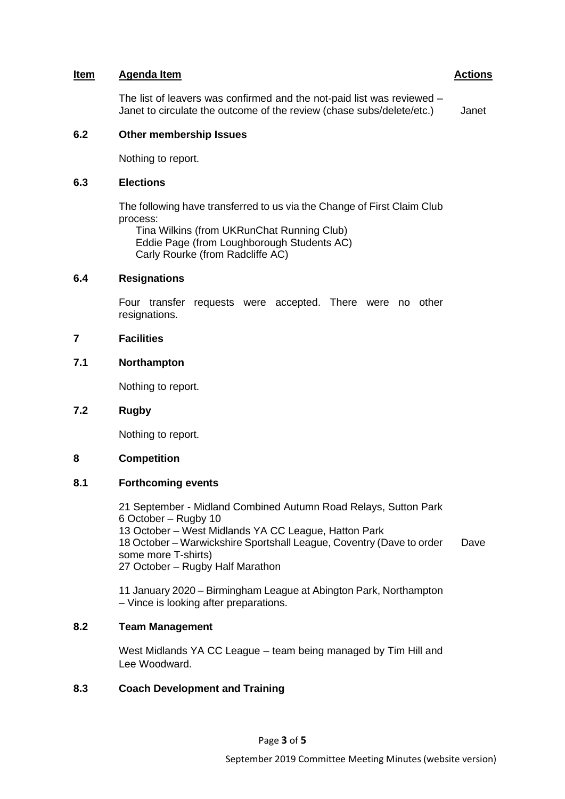The list of leavers was confirmed and the not-paid list was reviewed – Janet to circulate the outcome of the review (chase subs/delete/etc.) Janet

#### **6.2 Other membership Issues**

Nothing to report.

## **6.3 Elections**

The following have transferred to us via the Change of First Claim Club process:

Tina Wilkins (from UKRunChat Running Club) Eddie Page (from Loughborough Students AC) Carly Rourke (from Radcliffe AC)

## **6.4 Resignations**

Four transfer requests were accepted. There were no other resignations.

## **7 Facilities**

## **7.1 Northampton**

Nothing to report.

# **7.2 Rugby**

Nothing to report.

# **8 Competition**

# **8.1 Forthcoming events**

21 September - Midland Combined Autumn Road Relays, Sutton Park 6 October – Rugby 10 13 October – West Midlands YA CC League, Hatton Park 18 October – Warwickshire Sportshall League, Coventry (Dave to order some more T-shirts) 27 October – Rugby Half Marathon Dave

11 January 2020 – Birmingham League at Abington Park, Northampton – Vince is looking after preparations.

# **8.2 Team Management**

West Midlands YA CC League – team being managed by Tim Hill and Lee Woodward.

# **8.3 Coach Development and Training**

Page **3** of **5**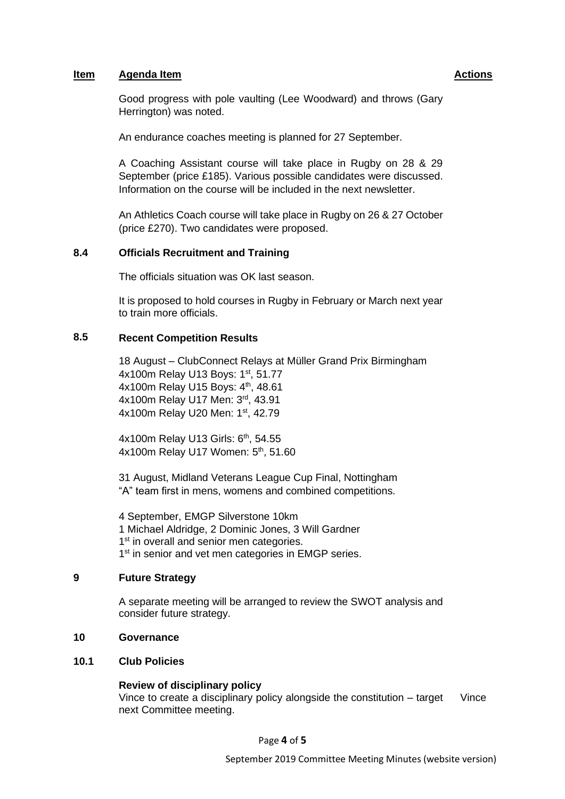Good progress with pole vaulting (Lee Woodward) and throws (Gary Herrington) was noted.

An endurance coaches meeting is planned for 27 September.

A Coaching Assistant course will take place in Rugby on 28 & 29 September (price £185). Various possible candidates were discussed. Information on the course will be included in the next newsletter.

An Athletics Coach course will take place in Rugby on 26 & 27 October (price £270). Two candidates were proposed.

# **8.4 Officials Recruitment and Training**

The officials situation was OK last season.

It is proposed to hold courses in Rugby in February or March next year to train more officials.

# **8.5 Recent Competition Results**

18 August – ClubConnect Relays at Müller Grand Prix Birmingham 4x100m Relay U13 Boys: 1<sup>st</sup>, 51.77 4x100m Relay U15 Boys: 4<sup>th</sup>, 48.61 4x100m Relay U17 Men: 3rd, 43.91 4x100m Relay U20 Men: 1st, 42.79

4x100m Relay U13 Girls: 6<sup>th</sup>, 54.55 4x100m Relay U17 Women: 5<sup>th</sup>, 51.60

31 August, Midland Veterans League Cup Final, Nottingham "A" team first in mens, womens and combined competitions.

4 September, EMGP Silverstone 10km 1 Michael Aldridge, 2 Dominic Jones, 3 Will Gardner 1<sup>st</sup> in overall and senior men categories. 1<sup>st</sup> in senior and vet men categories in EMGP series.

## **9 Future Strategy**

A separate meeting will be arranged to review the SWOT analysis and consider future strategy.

## **10 Governance**

# **10.1 Club Policies**

#### **Review of disciplinary policy**

Vince to create a disciplinary policy alongside the constitution – target next Committee meeting. Vince

Page **4** of **5**